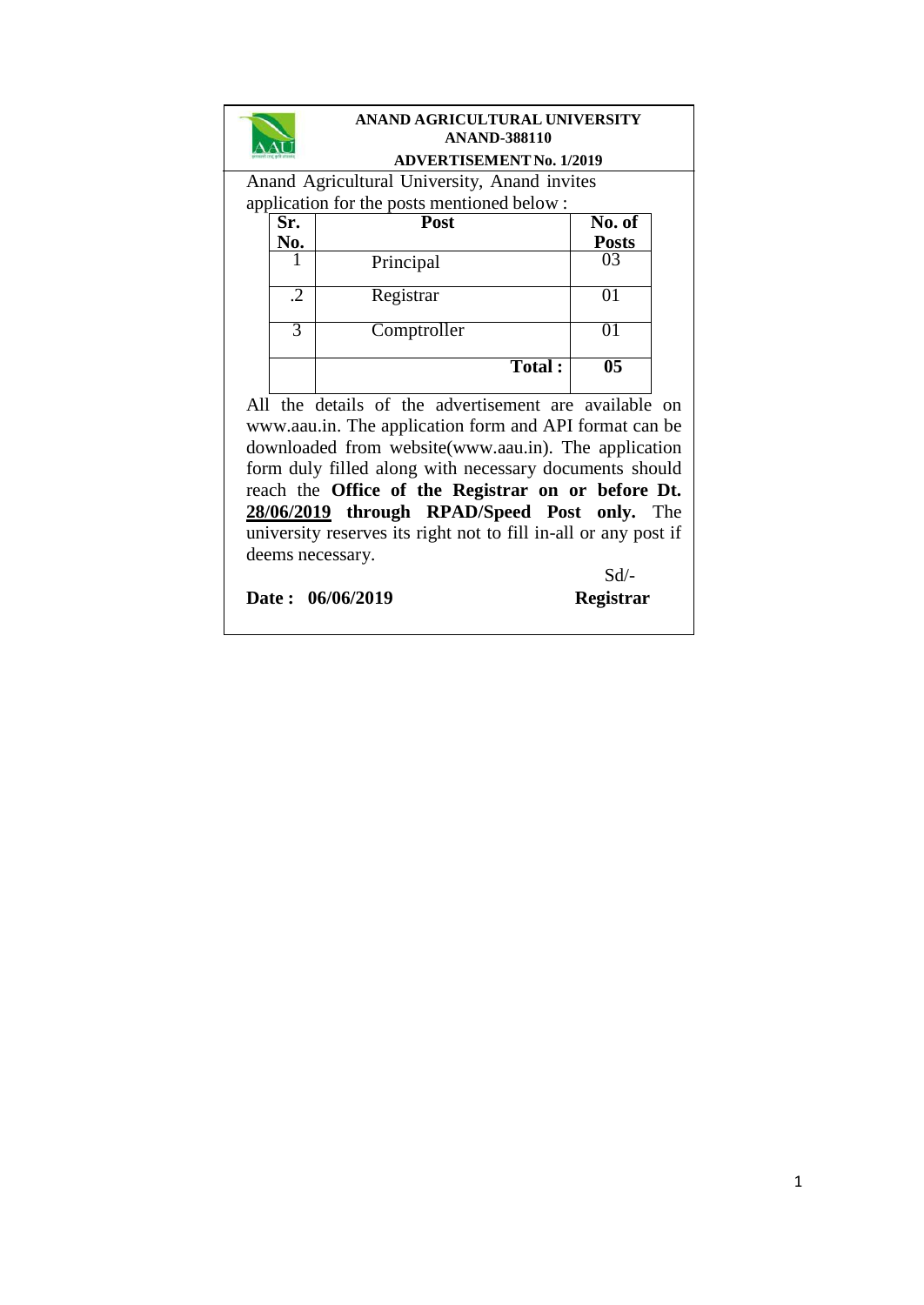|                                                                 | ANAND AGRICULTURAL UNIVERSITY                      |                                              |                 |  |  |  |  |
|-----------------------------------------------------------------|----------------------------------------------------|----------------------------------------------|-----------------|--|--|--|--|
|                                                                 |                                                    | <b>ANAND-388110</b>                          |                 |  |  |  |  |
|                                                                 |                                                    | <b>ADVERTISEMENT No. 1/2019</b>              |                 |  |  |  |  |
|                                                                 |                                                    | Anand Agricultural University, Anand invites |                 |  |  |  |  |
|                                                                 |                                                    | application for the posts mentioned below:   |                 |  |  |  |  |
|                                                                 | Sr.                                                | Post                                         | No. of          |  |  |  |  |
|                                                                 | <u>No.</u>                                         |                                              | <u>Posts</u>    |  |  |  |  |
|                                                                 | 1                                                  | Principal                                    | ገ3              |  |  |  |  |
|                                                                 | .2                                                 | Registrar                                    | 01              |  |  |  |  |
|                                                                 | 3                                                  | Comptroller                                  | 01              |  |  |  |  |
|                                                                 |                                                    | Total:                                       | $\overline{05}$ |  |  |  |  |
| All the details of the advertisement are available on           |                                                    |                                              |                 |  |  |  |  |
| www.aau.in. The application form and API format can be          |                                                    |                                              |                 |  |  |  |  |
| downloaded from website(www.aau.in). The application            |                                                    |                                              |                 |  |  |  |  |
| form duly filled along with necessary documents should          |                                                    |                                              |                 |  |  |  |  |
|                                                                 | reach the Office of the Registrar on or before Dt. |                                              |                 |  |  |  |  |
| 28/06/2019 through RPAD/Speed Post only. The                    |                                                    |                                              |                 |  |  |  |  |
| university reserves its right not to fill in-all or any post if |                                                    |                                              |                 |  |  |  |  |
| deems necessary.                                                |                                                    |                                              |                 |  |  |  |  |
|                                                                 |                                                    |                                              | Sd              |  |  |  |  |
|                                                                 |                                                    | Date: 06/06/2019                             | Registrar       |  |  |  |  |
|                                                                 |                                                    |                                              |                 |  |  |  |  |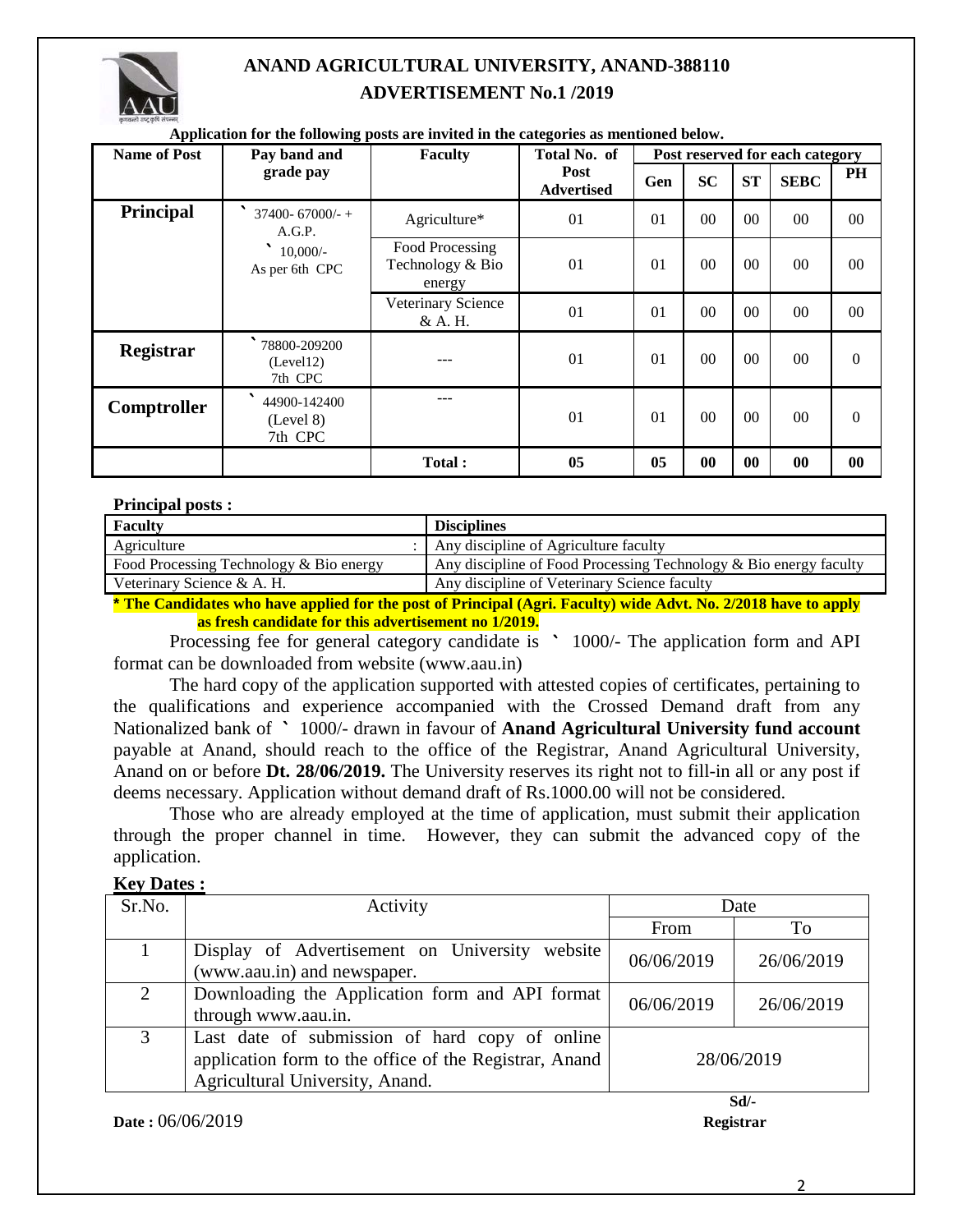

# **ANAND AGRICULTURAL UNIVERSITY, ANAND-388110 ADVERTISEMENT No.1 /2019**

| Application for the following posts are invited in the categories as mentioned below. |                                                                     |                                               |                           |                                 |                |                |             |                  |
|---------------------------------------------------------------------------------------|---------------------------------------------------------------------|-----------------------------------------------|---------------------------|---------------------------------|----------------|----------------|-------------|------------------|
| <b>Name of Post</b>                                                                   | Pay band and                                                        | <b>Faculty</b>                                | Total No. of              | Post reserved for each category |                |                |             |                  |
|                                                                                       | grade pay                                                           |                                               | Post<br><b>Advertised</b> | Gen                             | <b>SC</b>      | <b>ST</b>      | <b>SEBC</b> | <b>PH</b>        |
| <b>Principal</b>                                                                      | $37400 - 67000/ - +$<br>A.G.P.<br>◥<br>$10,000/-$<br>As per 6th CPC | Agriculture*                                  | 01                        | 01                              | 0 <sup>0</sup> | 0 <sub>0</sub> | $00\,$      | $00\,$           |
|                                                                                       |                                                                     | Food Processing<br>Technology & Bio<br>energy | 01                        | 01                              | 00             | 00             | $00\,$      | 00               |
|                                                                                       |                                                                     | Veterinary Science<br>& A. H.                 | 01                        | 01                              | 00             | 00             | $00\,$      | 00               |
| Registrar                                                                             | 78800-209200<br>(Level12)<br>7th CPC                                |                                               | 01                        | 01                              | 00             | 00             | $00\,$      | $\boldsymbol{0}$ |
| Comptroller                                                                           | 44900-142400<br>(Level 8)<br>7th CPC                                |                                               | 01                        | 01                              | 00             | 00             | $00\,$      | $\mathbf{0}$     |
|                                                                                       |                                                                     | <b>Total:</b>                                 | 05                        | 05                              | 00             | 00             | $\bf{00}$   | 00               |

#### **Application for the following posts are invited in the categories as mentioned below.**

#### **Principal posts :**

| $\sim$ THE CIPCS PODD $\sim$            |                                                                   |
|-----------------------------------------|-------------------------------------------------------------------|
| <b>Faculty</b>                          | <b>Disciplines</b>                                                |
| Agriculture                             | Any discipline of Agriculture faculty                             |
| Food Processing Technology & Bio energy | Any discipline of Food Processing Technology & Bio energy faculty |
| Veterinary Science & A. H.              | Any discipline of Veterinary Science faculty                      |
|                                         |                                                                   |

**\* The Candidates who have applied for the post of Principal (Agri. Faculty) wide Advt. No. 2/2018 have to apply as fresh candidate for this advertisement no 1/2019.**

Processing fee for general category candidate is  $\degree$  1000/- The application form and API format can be downloaded from website (www.aau.in)

The hard copy of the application supported with attested copies of certificates, pertaining to the qualifications and experience accompanied with the Crossed Demand draft from any Nationalized bank of ` 1000/- drawn in favour of **Anand Agricultural University fund account** payable at Anand, should reach to the office of the Registrar, Anand Agricultural University, Anand on or before **Dt. 28/06/2019.** The University reserves its right not to fill-in all or any post if deems necessary. Application without demand draft of Rs.1000.00 will not be considered.

Those who are already employed at the time of application, must submit their application through the proper channel in time. However, they can submit the advanced copy of the application.

#### **Key Dates :**

| Sr.No.                      | Activity<br>Date                                                                                                                            |            |            |
|-----------------------------|---------------------------------------------------------------------------------------------------------------------------------------------|------------|------------|
|                             |                                                                                                                                             | From       | To         |
|                             | Display of Advertisement on University website<br>(www.aau.in) and newspaper.                                                               | 06/06/2019 | 26/06/2019 |
| $\mathcal{D}_{\mathcal{L}}$ | Downloading the Application form and API format<br>through www.aau.in.                                                                      | 06/06/2019 | 26/06/2019 |
| 3                           | Last date of submission of hard copy of online<br>application form to the office of the Registrar, Anand<br>Agricultural University, Anand. | 28/06/2019 |            |
| $Sd$ /-                     |                                                                                                                                             |            |            |

**Date :** 06/06/2019 **Registrar**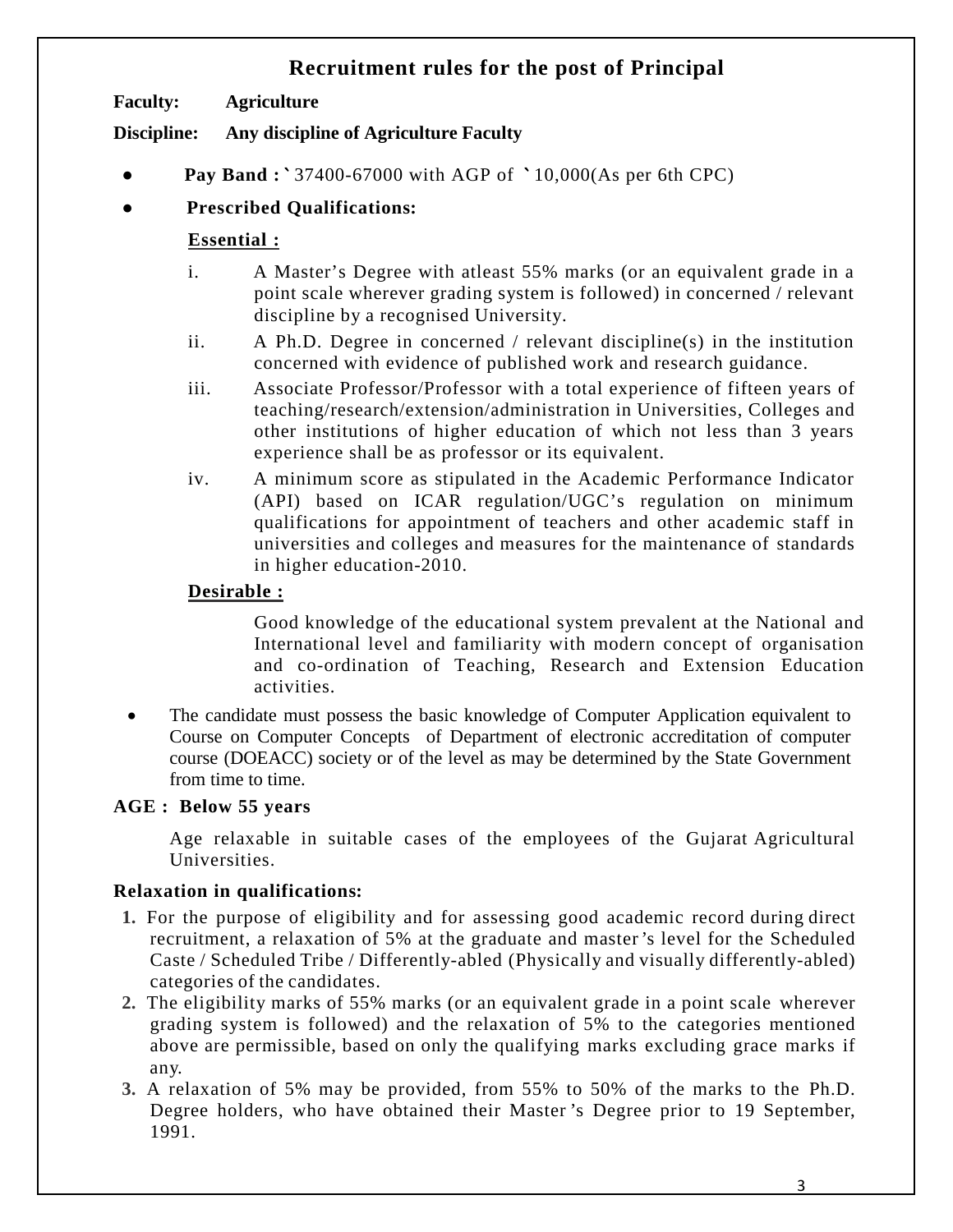# **Recruitment rules for the post of Principal**

**Faculty: Agriculture**

**Discipline: Any discipline of Agriculture Faculty**

- **Pay Band** : ` 37400-67000 with AGP of ` 10,000(As per 6th CPC)
- **Prescribed Qualifications:**

# **Essential :**

- i. A Master's Degree with atleast 55% marks (or an equivalent grade in a point scale wherever grading system is followed) in concerned / relevant discipline by a recognised University.
- ii. A Ph.D. Degree in concerned / relevant discipline(s) in the institution concerned with evidence of published work and research guidance.
- iii. Associate Professor/Professor with a total experience of fifteen years of teaching/research/extension/administration in Universities, Colleges and other institutions of higher education of which not less than 3 years experience shall be as professor or its equivalent.
- iv. A minimum score as stipulated in the Academic Performance Indicator (API) based on ICAR regulation/UGC's regulation on minimum qualifications for appointment of teachers and other academic staff in universities and colleges and measures for the maintenance of standards in higher education-2010.

# **Desirable :**

Good knowledge of the educational system prevalent at the National and International level and familiarity with modern concept of organisation and co-ordination of Teaching, Research and Extension Education activities.

• The candidate must possess the basic knowledge of Computer Application equivalent to Course on Computer Concepts of Department of electronic accreditation of computer course (DOEACC) society or of the level as may be determined by the State Government from time to time.

### **AGE : Below 55 years**

Age relaxable in suitable cases of the employees of the Gujarat Agricultural Universities.

### **Relaxation in qualifications:**

- **1.** For the purpose of eligibility and for assessing good academic record during direct recruitment, a relaxation of 5% at the graduate and master 's level for the Scheduled Caste / Scheduled Tribe / Differently-abled (Physically and visually differently-abled) categories of the candidates.
- **2.** The eligibility marks of 55% marks (or an equivalent grade in a point scale wherever grading system is followed) and the relaxation of 5% to the categories mentioned above are permissible, based on only the qualifying marks excluding grace marks if any.
- **3.** A relaxation of 5% may be provided, from 55% to 50% of the marks to the Ph.D. Degree holders, who have obtained their Master 's Degree prior to 19 September, 1991.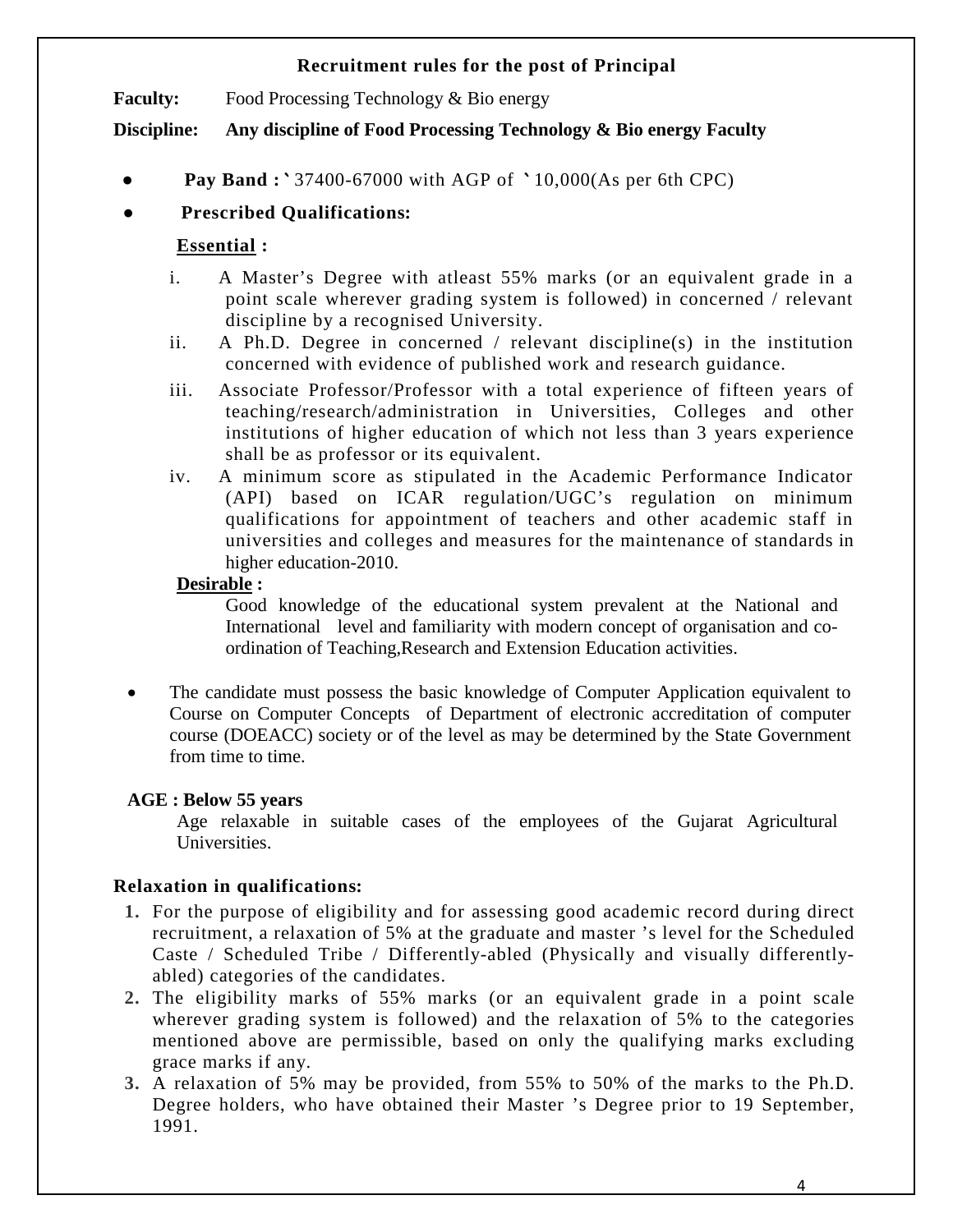#### **Recruitment rules for the post of Principal**

**Faculty:** Food Processing Technology & Bio energy

**Discipline: Any discipline of Food Processing Technology & Bio energy Faculty**

● **Pay Band :** ` 37400-67000 with AGP of ` 10,000(As per 6th CPC)

# ● **Prescribed Qualifications:**

# **Essential :**

- i. A Master's Degree with atleast 55% marks (or an equivalent grade in a point scale wherever grading system is followed) in concerned / relevant discipline by a recognised University.
- ii. A Ph.D. Degree in concerned / relevant discipline(s) in the institution concerned with evidence of published work and research guidance.
- iii. Associate Professor/Professor with a total experience of fifteen years of teaching/research/administration in Universities, Colleges and other institutions of higher education of which not less than 3 years experience shall be as professor or its equivalent.
- iv. A minimum score as stipulated in the Academic Performance Indicator (API) based on ICAR regulation/UGC's regulation on minimum qualifications for appointment of teachers and other academic staff in universities and colleges and measures for the maintenance of standards in higher education-2010.

#### **Desirable :**

Good knowledge of the educational system prevalent at the National and International level and familiarity with modern concept of organisation and coordination of Teaching,Research and Extension Education activities.

The candidate must possess the basic knowledge of Computer Application equivalent to Course on Computer Concepts of Department of electronic accreditation of computer course (DOEACC) society or of the level as may be determined by the State Government from time to time.

### **AGE : Below 55 years**

Age relaxable in suitable cases of the employees of the Gujarat Agricultural Universities.

# **Relaxation in qualifications:**

- **1.** For the purpose of eligibility and for assessing good academic record during direct recruitment, a relaxation of 5% at the graduate and master 's level for the Scheduled Caste / Scheduled Tribe / Differently-abled (Physically and visually differentlyabled) categories of the candidates.
- **2.** The eligibility marks of 55% marks (or an equivalent grade in a point scale wherever grading system is followed) and the relaxation of 5% to the categories mentioned above are permissible, based on only the qualifying marks excluding grace marks if any.
- **3.** A relaxation of 5% may be provided, from 55% to 50% of the marks to the Ph.D. Degree holders, who have obtained their Master 's Degree prior to 19 September, 1991.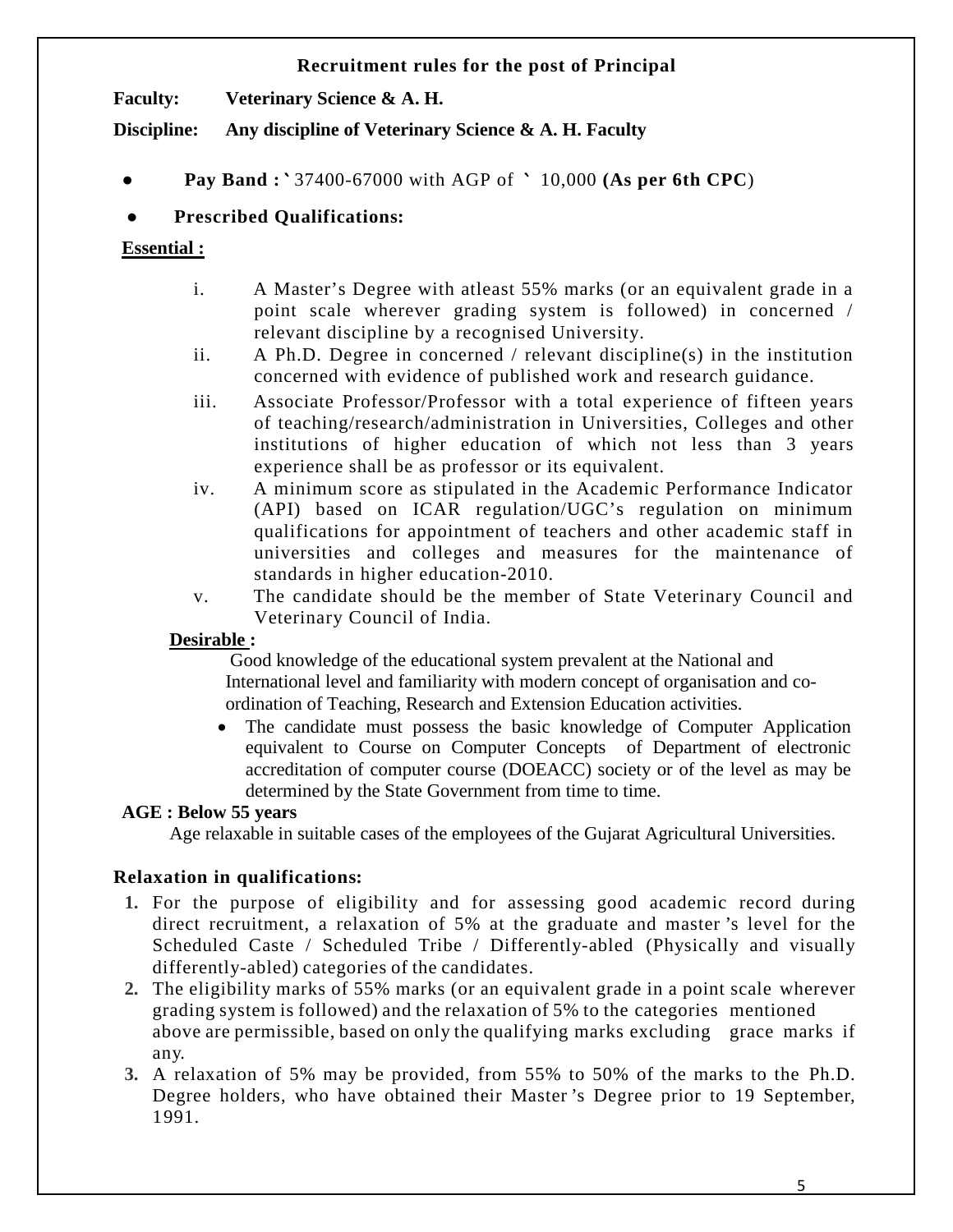#### **Recruitment rules for the post of Principal**

**Faculty: Veterinary Science & A. H.** 

**Discipline: Any discipline of Veterinary Science & A. H. Faculty**

● **Pay Band :** ` 37400-67000 with AGP of ` 10,000 **(As per 6th CPC**)

# ● **Prescribed Qualifications:**

#### **Essential :**

- i. A Master's Degree with atleast 55% marks (or an equivalent grade in a point scale wherever grading system is followed) in concerned / relevant discipline by a recognised University.
- ii. A Ph.D. Degree in concerned / relevant discipline(s) in the institution concerned with evidence of published work and research guidance.
- iii. Associate Professor/Professor with a total experience of fifteen years of teaching/research/administration in Universities, Colleges and other institutions of higher education of which not less than 3 years experience shall be as professor or its equivalent.
- iv. A minimum score as stipulated in the Academic Performance Indicator (API) based on ICAR regulation/UGC's regulation on minimum qualifications for appointment of teachers and other academic staff in universities and colleges and measures for the maintenance of standards in higher education-2010.
- v. The candidate should be the member of State Veterinary Council and Veterinary Council of India.

### **Desirable :**

Good knowledge of the educational system prevalent at the National and International level and familiarity with modern concept of organisation and coordination of Teaching, Research and Extension Education activities.

• The candidate must possess the basic knowledge of Computer Application equivalent to Course on Computer Concepts of Department of electronic accreditation of computer course (DOEACC) society or of the level as may be determined by the State Government from time to time.

### **AGE : Below 55 years**

Age relaxable in suitable cases of the employees of the Gujarat Agricultural Universities.

### **Relaxation in qualifications:**

- **1.** For the purpose of eligibility and for assessing good academic record during direct recruitment, a relaxation of 5% at the graduate and master 's level for the Scheduled Caste / Scheduled Tribe / Differently-abled (Physically and visually differently-abled) categories of the candidates.
- **2.** The eligibility marks of 55% marks (or an equivalent grade in a point scale wherever grading system is followed) and the relaxation of 5% to the categories mentioned above are permissible, based on only the qualifying marks excluding grace marks if any.
- **3.** A relaxation of 5% may be provided, from 55% to 50% of the marks to the Ph.D. Degree holders, who have obtained their Master 's Degree prior to 19 September, 1991.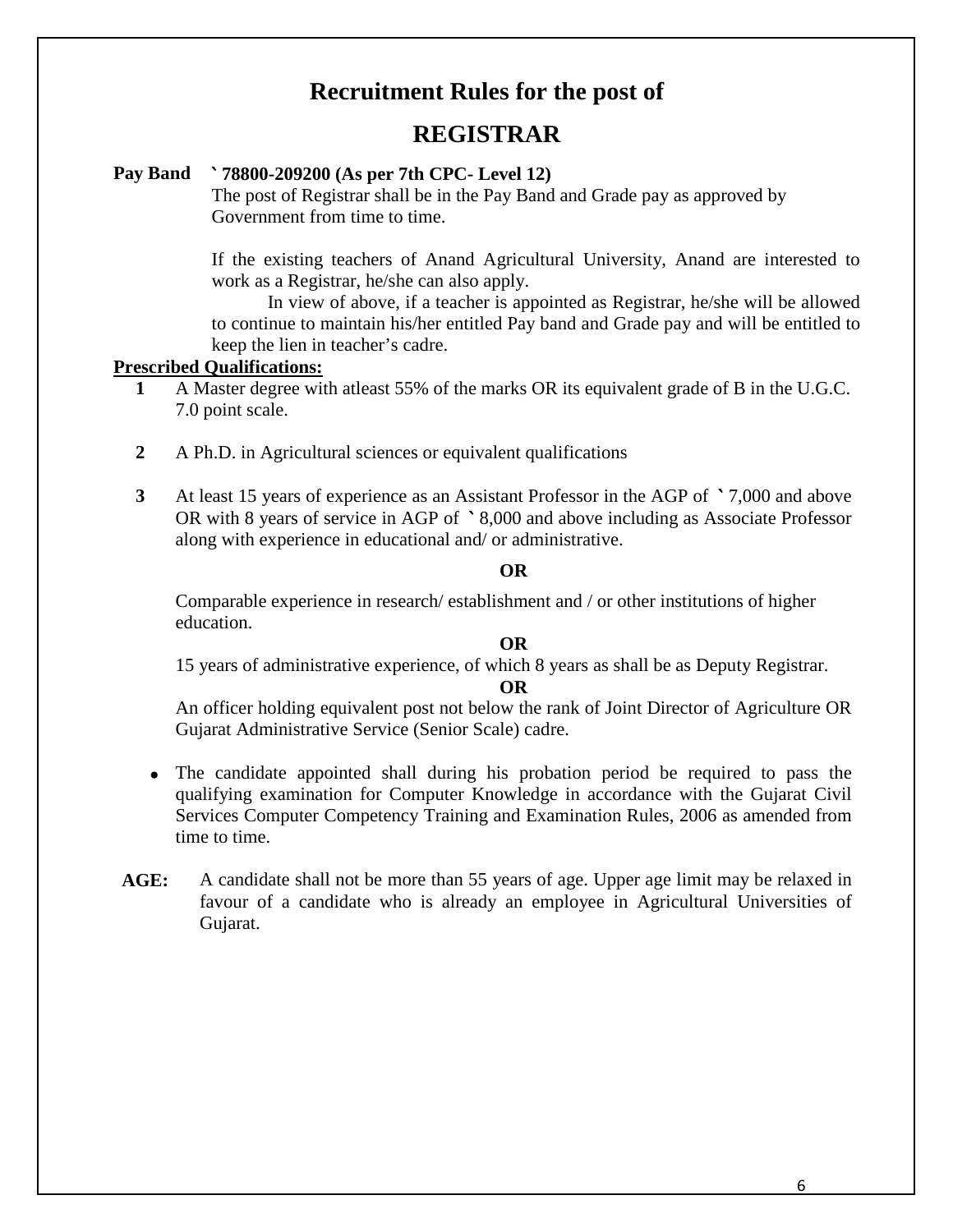# **Recruitment Rules for the post of**

# **REGISTRAR**

#### **Pay Band** ` **78800-209200 (As per 7th CPC- Level 12)**

The post of Registrar shall be in the Pay Band and Grade pay as approved by Government from time to time.

If the existing teachers of Anand Agricultural University, Anand are interested to work as a Registrar, he/she can also apply.

In view of above, if a teacher is appointed as Registrar, he/she will be allowed to continue to maintain his/her entitled Pay band and Grade pay and will be entitled to keep the lien in teacher's cadre.

#### **Prescribed Qualifications:**

- **1** A Master degree with atleast 55% of the marks OR its equivalent grade of B in the U.G.C. 7.0 point scale.
- **2** A Ph.D. in Agricultural sciences or equivalent qualifications
- **3** At least 15 years of experience as an Assistant Professor in the AGP of ` 7,000 and above OR with 8 years of service in AGP of ` 8,000 and above including as Associate Professor along with experience in educational and/ or administrative.

#### **OR**

Comparable experience in research/ establishment and / or other institutions of higher education.

#### **OR**

15 years of administrative experience, of which 8 years as shall be as Deputy Registrar.

#### **OR**

An officer holding equivalent post not below the rank of Joint Director of Agriculture OR Gujarat Administrative Service (Senior Scale) cadre.

- The candidate appointed shall during his probation period be required to pass the qualifying examination for Computer Knowledge in accordance with the Gujarat Civil Services Computer Competency Training and Examination Rules, 2006 as amended from time to time.
- **AGE:** A candidate shall not be more than 55 years of age. Upper age limit may be relaxed in favour of a candidate who is already an employee in Agricultural Universities of Gujarat.